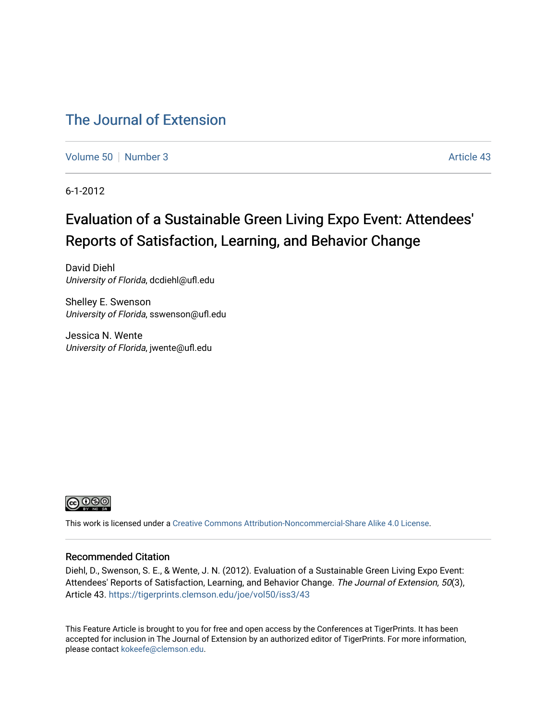# [The Journal of Extension](https://tigerprints.clemson.edu/joe)

[Volume 50](https://tigerprints.clemson.edu/joe/vol50) [Number 3](https://tigerprints.clemson.edu/joe/vol50/iss3) Article 43

6-1-2012

# Evaluation of a Sustainable Green Living Expo Event: Attendees' Reports of Satisfaction, Learning, and Behavior Change

David Diehl University of Florida, dcdiehl@ufl.edu

Shelley E. Swenson University of Florida, sswenson@ufl.edu

Jessica N. Wente University of Florida, jwente@ufl.edu



This work is licensed under a [Creative Commons Attribution-Noncommercial-Share Alike 4.0 License.](https://creativecommons.org/licenses/by-nc-sa/4.0/)

#### Recommended Citation

Diehl, D., Swenson, S. E., & Wente, J. N. (2012). Evaluation of a Sustainable Green Living Expo Event: Attendees' Reports of Satisfaction, Learning, and Behavior Change. The Journal of Extension, 50(3), Article 43. <https://tigerprints.clemson.edu/joe/vol50/iss3/43>

This Feature Article is brought to you for free and open access by the Conferences at TigerPrints. It has been accepted for inclusion in The Journal of Extension by an authorized editor of TigerPrints. For more information, please contact [kokeefe@clemson.edu](mailto:kokeefe@clemson.edu).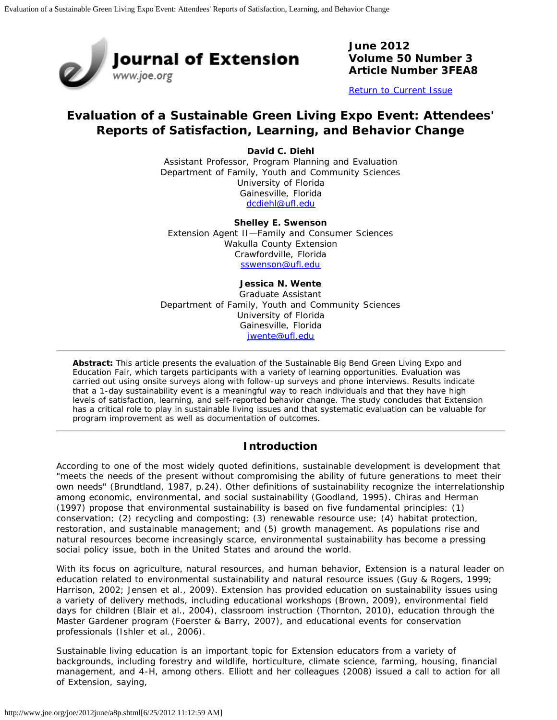

**June 2012 Volume 50 Number 3 Article Number 3FEA8**

[Return to Current Issue](http://www.joe.org/joe/2012june/)

# **Evaluation of a Sustainable Green Living Expo Event: Attendees' Reports of Satisfaction, Learning, and Behavior Change**

**David C. Diehl** Assistant Professor, Program Planning and Evaluation Department of Family, Youth and Community Sciences University of Florida Gainesville, Florida [dcdiehl@ufl.edu](mailto:dcdiehl@ufl.edu)

**Shelley E. Swenson** Extension Agent II—Family and Consumer Sciences Wakulla County Extension Crawfordville, Florida [sswenson@ufl.edu](mailto:sswenson@ufl.edu)

#### **Jessica N. Wente** Graduate Assistant Department of Family, Youth and Community Sciences University of Florida Gainesville, Florida [jwente@ufl.edu](mailto:jwente@ufl.edu)

*Abstract: This article presents the evaluation of the Sustainable Big Bend Green Living Expo and Education Fair, which targets participants with a variety of learning opportunities. Evaluation was carried out using onsite surveys along with follow-up surveys and phone interviews. Results indicate that a 1-day sustainability event is a meaningful way to reach individuals and that they have high levels of satisfaction, learning, and self-reported behavior change. The study concludes that Extension has a critical role to play in sustainable living issues and that systematic evaluation can be valuable for program improvement as well as documentation of outcomes.*

## **Introduction**

According to one of the most widely quoted definitions, sustainable development is development that "meets the needs of the present without compromising the ability of future generations to meet their own needs" (Brundtland, 1987, p.24). Other definitions of sustainability recognize the interrelationship among economic, environmental, and social sustainability (Goodland, 1995). Chiras and Herman (1997) propose that environmental sustainability is based on five fundamental principles: (1) conservation; (2) recycling and composting; (3) renewable resource use; (4) habitat protection, restoration, and sustainable management; and (5) growth management. As populations rise and natural resources become increasingly scarce, environmental sustainability has become a pressing social policy issue, both in the United States and around the world.

With its focus on agriculture, natural resources, and human behavior, Extension is a natural leader on education related to environmental sustainability and natural resource issues (Guy & Rogers, 1999; Harrison, 2002; Jensen et al., 2009). Extension has provided education on sustainability issues using a variety of delivery methods, including educational workshops (Brown, 2009), environmental field days for children (Blair et al., 2004), classroom instruction (Thornton, 2010), education through the Master Gardener program (Foerster & Barry, 2007), and educational events for conservation professionals (Ishler et al., 2006).

Sustainable living education is an important topic for Extension educators from a variety of backgrounds, including forestry and wildlife, horticulture, climate science, farming, housing, financial management, and 4-H, among others. Elliott and her colleagues (2008) issued a call to action for all of Extension, saying,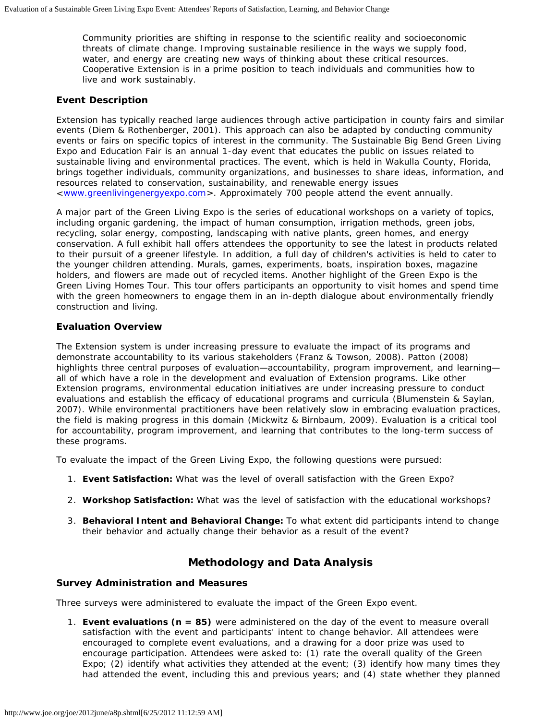Community priorities are shifting in response to the scientific reality and socioeconomic threats of climate change. Improving sustainable resilience in the ways we supply food, water, and energy are creating new ways of thinking about these critical resources. Cooperative Extension is in a prime position to teach individuals and communities how to live and work sustainably.

#### **Event Description**

Extension has typically reached large audiences through active participation in county fairs and similar events (Diem & Rothenberger, 2001). This approach can also be adapted by conducting community events or fairs on specific topics of interest in the community. The Sustainable Big Bend Green Living Expo and Education Fair is an annual 1-day event that educates the public on issues related to sustainable living and environmental practices. The event, which is held in Wakulla County, Florida, brings together individuals, community organizations, and businesses to share ideas, information, and resources related to conservation, sustainability, and renewable energy issues <[www.greenlivingenergyexpo.com](http://www.greenlivingenergyexpo.com/)>. Approximately 700 people attend the event annually.

A major part of the Green Living Expo is the series of educational workshops on a variety of topics, including organic gardening, the impact of human consumption, irrigation methods, green jobs, recycling, solar energy, composting, landscaping with native plants, green homes, and energy conservation. A full exhibit hall offers attendees the opportunity to see the latest in products related to their pursuit of a greener lifestyle. In addition, a full day of children's activities is held to cater to the younger children attending. Murals, games, experiments, boats, inspiration boxes, magazine holders, and flowers are made out of recycled items. Another highlight of the Green Expo is the Green Living Homes Tour. This tour offers participants an opportunity to visit homes and spend time with the green homeowners to engage them in an in-depth dialogue about environmentally friendly construction and living.

#### **Evaluation Overview**

The Extension system is under increasing pressure to evaluate the impact of its programs and demonstrate accountability to its various stakeholders (Franz & Towson, 2008). Patton (2008) highlights three central purposes of evaluation—accountability, program improvement, and learning all of which have a role in the development and evaluation of Extension programs. Like other Extension programs, environmental education initiatives are under increasing pressure to conduct evaluations and establish the efficacy of educational programs and curricula (Blumenstein & Saylan, 2007). While environmental practitioners have been relatively slow in embracing evaluation practices, the field is making progress in this domain (Mickwitz & Birnbaum, 2009). Evaluation is a critical tool for accountability, program improvement, and learning that contributes to the long-term success of these programs.

To evaluate the impact of the Green Living Expo, the following questions were pursued:

- 1. **Event Satisfaction:** What was the level of overall satisfaction with the Green Expo?
- 2. **Workshop Satisfaction:** What was the level of satisfaction with the educational workshops?
- 3. **Behavioral Intent and Behavioral Change:** To what extent did participants *intend* to change their behavior and *actually change* their behavior as a result of the event?

## **Methodology and Data Analysis**

#### **Survey Administration and Measures**

Three surveys were administered to evaluate the impact of the Green Expo event.

1. **Event evaluations (n = 85)** were administered on the day of the event to measure overall satisfaction with the event and participants' intent to change behavior. All attendees were encouraged to complete event evaluations, and a drawing for a door prize was used to encourage participation. Attendees were asked to: (1) rate the *overall quality* of the Green Expo; (2) identify what activities they attended at the event; (3) identify how many *times they had attended* the event, including this and previous years; and (4) state whether they planned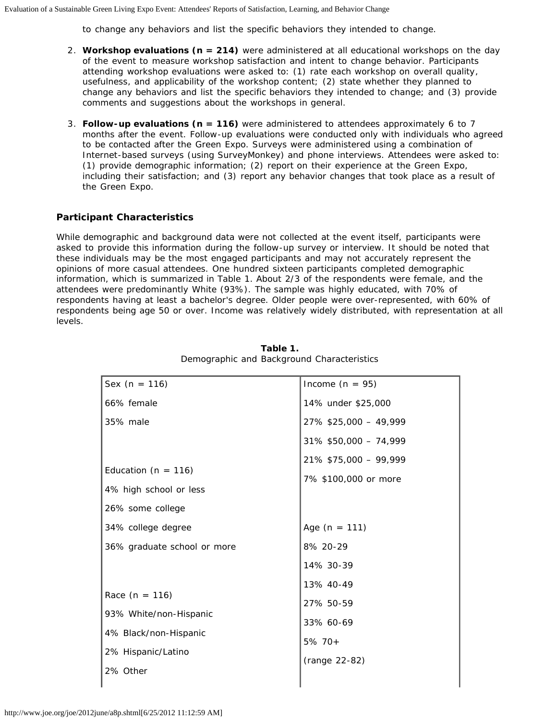to change any behaviors and list the specific behaviors they intended to change.

- 2. **Workshop evaluations (n = 214)** were administered at all educational workshops on the day of the event to measure workshop satisfaction and intent to change behavior. Participants attending workshop evaluations were asked to: (1) rate each workshop on *overall quality*, *usefulness*, and *applicability* of the workshop content; (2) state whether they planned to change any behaviors and list the specific behaviors they intended to change; and (3) provide comments and suggestions about the workshops in general.
- 3. **Follow-up evaluations (n = 116)** were administered to attendees approximately 6 to 7 months after the event. Follow-up evaluations were conducted only with individuals who agreed to be contacted after the Green Expo. Surveys were administered using a combination of Internet-based surveys (using SurveyMonkey) and phone interviews. Attendees were asked to: (1) provide demographic information; (2) report on their experience at the Green Expo, including their satisfaction; and (3) report any behavior changes that took place as a result of the Green Expo.

#### **Participant Characteristics**

While demographic and background data were not collected at the event itself, participants were asked to provide this information during the follow-up survey or interview. It should be noted that these individuals may be the most engaged participants and may not accurately represent the opinions of more casual attendees. One hundred sixteen participants completed demographic information, which is summarized in Table 1. About 2/3 of the respondents were female, and the attendees were predominantly White (93%). The sample was highly educated, with 70% of respondents having at least a bachelor's degree. Older people were over-represented, with 60% of respondents being age 50 or over. Income was relatively widely distributed, with representation at all levels.

| Sex $(n = 116)$             | Income ( $n = 95$ )   |
|-----------------------------|-----------------------|
| 66% female                  | 14% under \$25,000    |
| 35% male                    | 27% \$25,000 - 49,999 |
|                             | 31% \$50,000 - 74,999 |
|                             | 21% \$75,000 - 99,999 |
| Education ( $n = 116$ )     | 7% \$100,000 or more  |
| 4% high school or less      |                       |
| 26% some college            |                       |
| 34% college degree          | Age $(n = 111)$       |
| 36% graduate school or more | 8% 20-29              |
|                             | 14% 30-39             |
|                             | 13% 40-49             |
| Race $(n = 116)$            | 27% 50-59             |
| 93% White/non-Hispanic      | 33% 60-69             |
| 4% Black/non-Hispanic       | $5\%$ 70+             |
| 2% Hispanic/Latino          | (range 22-82)         |
| 2% Other                    |                       |
|                             |                       |

**Table 1.** Demographic and Background Characteristics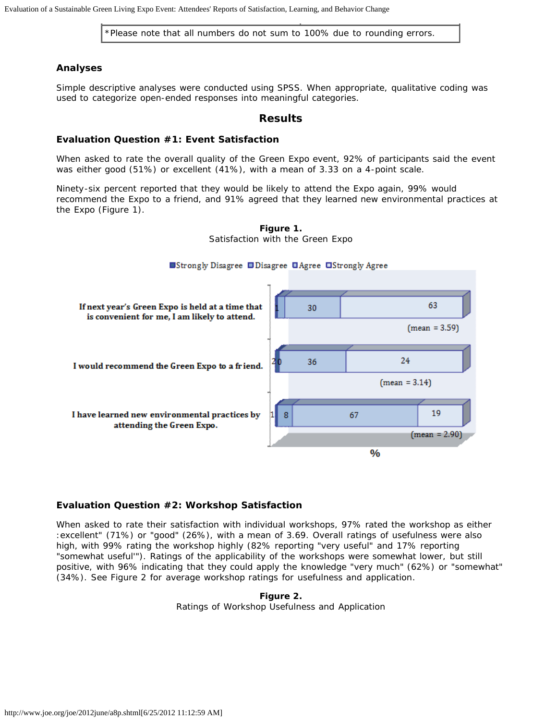\*Please note that all numbers do not sum to 100% due to rounding errors.

#### **Analyses**

Simple descriptive analyses were conducted using SPSS. When appropriate, qualitative coding was used to categorize open-ended responses into meaningful categories.

#### **Results**

#### **Evaluation Question #1: Event Satisfaction**

When asked to rate the overall quality of the Green Expo event, 92% of participants said the event was either good (51%) or excellent (41%), with a mean of 3.33 on a 4-point scale.

Ninety-six percent reported that they would be likely to attend the Expo again, 99% would recommend the Expo to a friend, and 91% agreed that they learned new environmental practices at the Expo (Figure 1).



**Figure 1.** Satisfaction with the Green Expo

#### **Evaluation Question #2: Workshop Satisfaction**

When asked to rate their satisfaction with individual workshops, 97% rated the workshop as either :excellent" (71%) or "good" (26%), with a mean of 3.69. Overall ratings of usefulness were also high, with 99% rating the workshop highly (82% reporting "very useful" and 17% reporting "somewhat useful'"). Ratings of the applicability of the workshops were somewhat lower, but still positive, with 96% indicating that they could apply the knowledge "very much" (62%) or "somewhat" (34%). See Figure 2 for average workshop ratings for *usefulness* and *application*.

**Figure 2.** Ratings of Workshop Usefulness and Application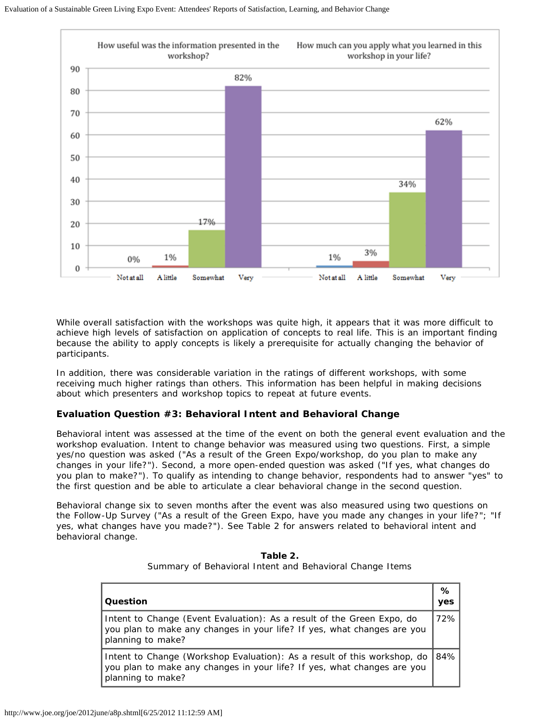

While overall satisfaction with the workshops was quite high, it appears that it was more difficult to achieve high levels of satisfaction on *application* of concepts to real life. This is an important finding because the ability to apply concepts is likely a prerequisite for actually changing the behavior of participants.

In addition, there was considerable variation in the ratings of different workshops, with some receiving much higher ratings than others. This information has been helpful in making decisions about which presenters and workshop topics to repeat at future events.

#### **Evaluation Question #3: Behavioral Intent and Behavioral Change**

Behavioral intent was assessed at the time of the event on both the general event evaluation and the workshop evaluation. Intent to change behavior was measured using two questions. First, a simple yes/no question was asked ("As a result of the Green Expo/workshop, do you plan to make any changes in your life?"). Second, a more open-ended question was asked ("If yes, what changes do you plan to make?"). To qualify as intending to change behavior, respondents had to answer "yes" to the first question and be able to articulate a clear behavioral change in the second question.

Behavioral change six to seven months after the event was also measured using two questions on the Follow-Up Survey ("As a result of the Green Expo, have you made any changes in your life?"; "If yes, what changes have you made?"). See Table 2 for answers related to behavioral intent and behavioral change.

| Question                                                                                                                                                                 | %<br>yes |
|--------------------------------------------------------------------------------------------------------------------------------------------------------------------------|----------|
| Intent to Change (Event Evaluation): As a result of the Green Expo, do<br>you plan to make any changes in your life? If yes, what changes are you<br>planning to make?   | 72%      |
| Intent to Change (Workshop Evaluation): As a result of this workshop, do<br>you plan to make any changes in your life? If yes, what changes are you<br>planning to make? | 84%      |

**Table 2.** Summary of Behavioral Intent and Behavioral Change Items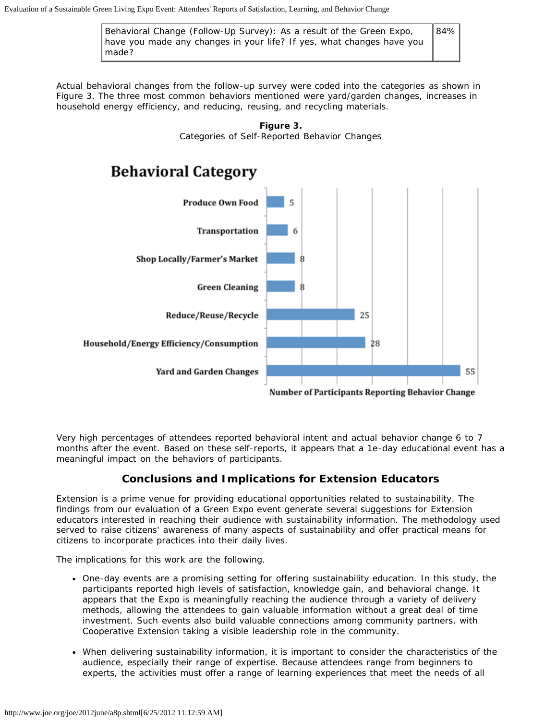Behavioral Change (Follow-Up Survey): As a result of the Green Expo, have you made any changes in your life? If yes, what changes have you made? 84%

*Actual* behavioral changes from the follow-up survey were coded into the categories as shown in Figure 3. The three most common behaviors mentioned were yard/garden changes, increases in household energy efficiency, and reducing, reusing, and recycling materials.





Very high percentages of attendees reported behavioral intent and actual behavior change 6 to 7 months after the event. Based on these self-reports, it appears that a 1e-day educational event has a meaningful impact on the behaviors of participants.

## **Conclusions and Implications for Extension Educators**

Extension is a prime venue for providing educational opportunities related to sustainability. The findings from our evaluation of a Green Expo event generate several suggestions for Extension educators interested in reaching their audience with sustainability information. The methodology used served to raise citizens' awareness of many aspects of sustainability and offer practical means for citizens to incorporate practices into their daily lives.

The implications for this work are the following.

- One-day events are a promising setting for offering sustainability education. In this study, the participants reported high levels of satisfaction, knowledge gain, and behavioral change. It appears that the Expo is meaningfully reaching the audience through a variety of delivery methods, allowing the attendees to gain valuable information without a great deal of time investment. Such events also build valuable connections among community partners, with Cooperative Extension taking a visible leadership role in the community.
- When delivering sustainability information, it is important to consider the characteristics of the audience, especially their range of expertise. Because attendees range from beginners to experts, the activities must offer a range of learning experiences that meet the needs of all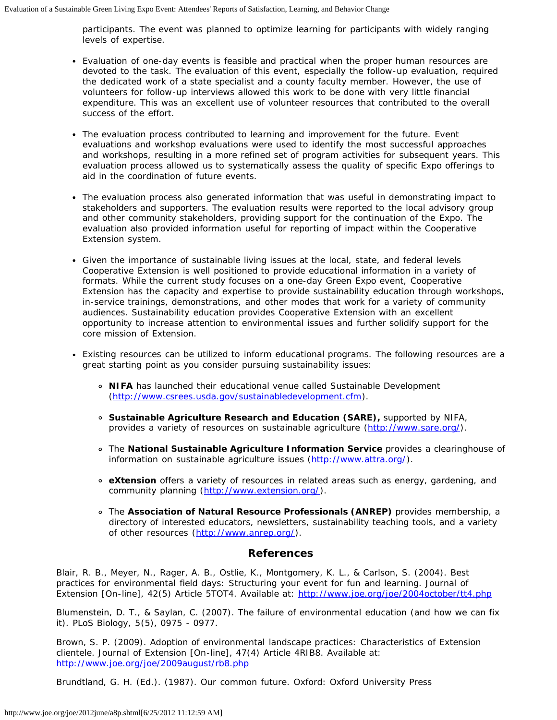participants. The event was planned to optimize learning for participants with widely ranging levels of expertise.

- Evaluation of one-day events is feasible and practical when the proper human resources are devoted to the task. The evaluation of this event, especially the follow-up evaluation, required the dedicated work of a state specialist and a county faculty member. However, the use of volunteers for follow-up interviews allowed this work to be done with very little financial expenditure. This was an excellent use of volunteer resources that contributed to the overall success of the effort.
- The evaluation process contributed to learning and improvement for the future. Event evaluations and workshop evaluations were used to identify the most successful approaches and workshops, resulting in a more refined set of program activities for subsequent years. This evaluation process allowed us to systematically assess the quality of specific Expo offerings to aid in the coordination of future events.
- The evaluation process also generated information that was useful in demonstrating impact to stakeholders and supporters. The evaluation results were reported to the local advisory group and other community stakeholders, providing support for the continuation of the Expo. The evaluation also provided information useful for reporting of impact within the Cooperative Extension system.
- Given the importance of sustainable living issues at the local, state, and federal levels Cooperative Extension is well positioned to provide educational information in a variety of formats. While the current study focuses on a one-day Green Expo event, Cooperative Extension has the capacity and expertise to provide sustainability education through workshops, in-service trainings, demonstrations, and other modes that work for a variety of community audiences. Sustainability education provides Cooperative Extension with an excellent opportunity to increase attention to environmental issues and further solidify support for the core mission of Extension.
- Existing resources can be utilized to inform educational programs. The following resources are a great starting point as you consider pursuing sustainability issues:
	- **NIFA** has launched their educational venue called Sustainable Development ([http://www.csrees.usda.gov/sustainabledevelopment.cfm\)](http://www.csrees.usda.gov/sustainabledevelopment.cfm).
	- **Sustainable Agriculture Research and Education (SARE),** supported by NIFA, provides a variety of resources on sustainable agriculture [\(http://www.sare.org/](http://www.sare.org/)).
	- The **National Sustainable Agriculture Information Service** provides a clearinghouse of information on sustainable agriculture issues [\(http://www.attra.org/\)](http://www.attra.org/).
	- **eXtension** offers a variety of resources in related areas such as energy, gardening, and community planning [\(http://www.extension.org/\)](http://www.extension.org/).
	- The **Association of Natural Resource Professionals (ANREP)** provides membership, a directory of interested educators, newsletters, sustainability teaching tools, and a variety of other resources ([http://www.anrep.org/\)](http://www.anrep.org/).

#### **References**

Blair, R. B., Meyer, N., Rager, A. B., Ostlie, K., Montgomery, K. L., & Carlson, S. (2004). Best practices for environmental field days: Structuring your event for fun and learning. *Journal of Extension* [On-line], 42(5) Article 5TOT4. Available at: <http://www.joe.org/joe/2004october/tt4.php>

Blumenstein, D. T., & Saylan, C. (2007). The failure of environmental education (and how we can fix it). *PLoS Biology, 5(5),* 0975 - 0977.

Brown, S. P. (2009). Adoption of environmental landscape practices: Characteristics of Extension clientele. *Journal of Extension* [On-line], 47(4) Article 4RIB8. Available at: <http://www.joe.org/joe/2009august/rb8.php>

Brundtland, G. H. (Ed.). (1987). *Our common future.* Oxford: Oxford University Press